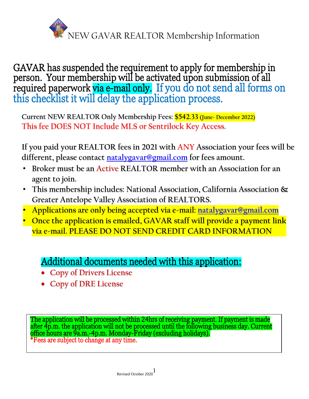

GAVAR has suspended the requirement to apply for membership in person. Your membership will be activated upon submission of all required paperwork via e-mail only. If you do not send all forms on this checklist it will delay the application process.

**Current NEW REALTOR Only Membership Fees: \$542.33 (June- December 2022) This fee DOES NOT Include MLS or Sentrilock Key Access.** 

**If you paid your REALTOR fees in 2021 with ANY Association your fees will be different, please contact [natalygavar@gmail.com](mailto:natalygavar@gmail.com) for fees amount.**

- **Broker must be an Active REALTOR member with an Association for an agent to join.**
- **This membership includes: National Association, California Association & Greater Antelope Valley Association of REALTORS.**
- **Applications are only being accepted via e-mail: [natalygavar@gmail.com](mailto:natalygavar@gmail.com)**
- **Once the application is emailed, GAVAR staff will provide a payment link via e-mail. PLEASE DO NOT SEND CREDIT CARD INFORMATION**

## j Additional documents needed with this application:

- **Copy of Drivers License**
- **Copy of DRE License**

The application will be processed within 24hrs of receiving payment. If payment is made after 4p.m. the application will not be processed until the following business day. Current office hours are 9a.m.-4p.m. Monday-Friday (excluding holidays). \*Fees are subject to change at any time.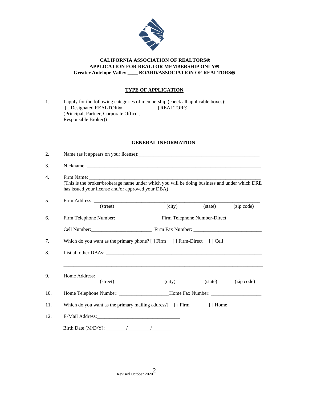

### **CALIFORNIA ASSOCIATION OF REALTORS APPLICATION FOR REALTOR MEMBERSHIP ONLY Greater Antelope Valley \_\_\_\_ BOARD/ASSOCIATION OF REALTORS**

## **TYPE OF APPLICATION**

| $\mathbf{L}$ |                                         | I apply for the following categories of membership (check all applicable boxes): |  |  |
|--------------|-----------------------------------------|----------------------------------------------------------------------------------|--|--|
|              | [] Designated REALTOR <sup>®</sup>      | [ ] REALTOR <sup>®</sup>                                                         |  |  |
|              | (Principal, Partner, Corporate Officer, |                                                                                  |  |  |
|              | Responsible Broker)                     |                                                                                  |  |  |

## **GENERAL INFORMATION**

|  | (This is the broker/brokerage name under which you will be doing business and under which DRE<br>has issued your license and/or approved your DBA) |  |  |  |  |
|--|----------------------------------------------------------------------------------------------------------------------------------------------------|--|--|--|--|
|  |                                                                                                                                                    |  |  |  |  |
|  | $\overline{(city)}$<br>(street)<br>$(\text{state})$<br>(zip code)                                                                                  |  |  |  |  |
|  | Firm Telephone Number: Firm Telephone Number-Direct: ____________________________                                                                  |  |  |  |  |
|  |                                                                                                                                                    |  |  |  |  |
|  | Which do you want as the primary phone? [] Firm [] Firm-Direct [] Cell                                                                             |  |  |  |  |
|  |                                                                                                                                                    |  |  |  |  |
|  |                                                                                                                                                    |  |  |  |  |
|  | (city)<br>$(\text{state})$<br>(zip code)<br>(street)                                                                                               |  |  |  |  |
|  |                                                                                                                                                    |  |  |  |  |
|  | Which do you want as the primary mailing address? [] Firm<br>[ ] Home                                                                              |  |  |  |  |
|  |                                                                                                                                                    |  |  |  |  |
|  |                                                                                                                                                    |  |  |  |  |
|  |                                                                                                                                                    |  |  |  |  |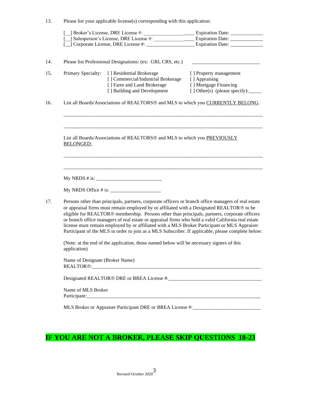| 13. | Please list your applicable license(s) corresponding with this application: |  |  |  |
|-----|-----------------------------------------------------------------------------|--|--|--|
|     |                                                                             |  |  |  |

|                                                                                                                                                                                                                                                                                                                                                                                                                                                                                                                                                                                                                 | Broker's License, DRE License #:                                                          | Expiration Date: ______________         |  |  |
|-----------------------------------------------------------------------------------------------------------------------------------------------------------------------------------------------------------------------------------------------------------------------------------------------------------------------------------------------------------------------------------------------------------------------------------------------------------------------------------------------------------------------------------------------------------------------------------------------------------------|-------------------------------------------------------------------------------------------|-----------------------------------------|--|--|
|                                                                                                                                                                                                                                                                                                                                                                                                                                                                                                                                                                                                                 |                                                                                           |                                         |  |  |
|                                                                                                                                                                                                                                                                                                                                                                                                                                                                                                                                                                                                                 |                                                                                           |                                         |  |  |
|                                                                                                                                                                                                                                                                                                                                                                                                                                                                                                                                                                                                                 | Please list Professional Designations: (ex: GRI, CRS, etc.)                               |                                         |  |  |
| Primary Specialty:                                                                                                                                                                                                                                                                                                                                                                                                                                                                                                                                                                                              | [] Residential Brokerage                                                                  | [] Property management                  |  |  |
|                                                                                                                                                                                                                                                                                                                                                                                                                                                                                                                                                                                                                 | [] Commercial/Industrial Brokerage<br>[ ] Farm and Land Brokerage                         | [ ] Appraising<br>[] Mortgage Financing |  |  |
|                                                                                                                                                                                                                                                                                                                                                                                                                                                                                                                                                                                                                 | [ ] Building and Development                                                              | [] Other(s) (please specify):           |  |  |
| List all Boards/Associations of REALTORS <sup>®</sup> and MLS to which you CURRENTLY BELONG:                                                                                                                                                                                                                                                                                                                                                                                                                                                                                                                    |                                                                                           |                                         |  |  |
| <b>BELONGED:</b>                                                                                                                                                                                                                                                                                                                                                                                                                                                                                                                                                                                                | List all Boards/Associations of REALTORS <sup>®</sup> and MLS to which you PREVIOUSLY     |                                         |  |  |
|                                                                                                                                                                                                                                                                                                                                                                                                                                                                                                                                                                                                                 |                                                                                           |                                         |  |  |
| Persons other than principals, partners, corporate officers or branch office managers of real estate<br>or appraisal firms must remain employed by or affiliated with a Designated REALTOR® to be<br>eligible for REALTOR® membership. Persons other than principals, partners, corporate officers<br>or branch office managers of real estate or appraisal firms who hold a valid California real estate<br>license must remain employed by or affiliated with a MLS Broker Participant or MLS Appraiser<br>Participant of the MLS in order to join as a MLS Subscriber. If applicable, please complete below: |                                                                                           |                                         |  |  |
|                                                                                                                                                                                                                                                                                                                                                                                                                                                                                                                                                                                                                 |                                                                                           |                                         |  |  |
| application)                                                                                                                                                                                                                                                                                                                                                                                                                                                                                                                                                                                                    | (Note: at the end of the application, those named below will be necessary signers of this |                                         |  |  |
| Name of Designate (Broker Name)                                                                                                                                                                                                                                                                                                                                                                                                                                                                                                                                                                                 |                                                                                           |                                         |  |  |
|                                                                                                                                                                                                                                                                                                                                                                                                                                                                                                                                                                                                                 |                                                                                           |                                         |  |  |
| Name of MLS Broker                                                                                                                                                                                                                                                                                                                                                                                                                                                                                                                                                                                              |                                                                                           |                                         |  |  |
|                                                                                                                                                                                                                                                                                                                                                                                                                                                                                                                                                                                                                 |                                                                                           |                                         |  |  |

# **IF YOU ARE NOT A BROKER, PLEASE SKIP QUESTIONS 18-23**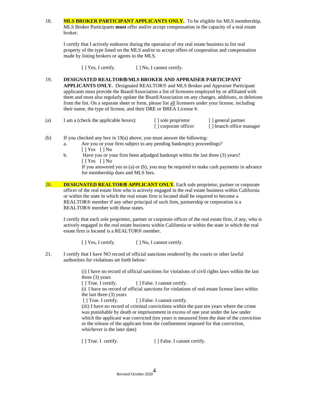18. **MLS BROKER PARTICIPANT APPLICANTS ONLY.** To be eligible for MLS membership, MLS Broker Participants **must** offer and/or accept compensation in the capacity of a real estate broker.

I certify that I actively endeavor during the operation of my real estate business to list real property of the type listed on the MLS and/or to accept offers of cooperation and compensation made by listing brokers or agents in the MLS.

[ ] Yes, I certify. [ ] No, I cannot certify.

19. **DESIGNATED REALTOR/MLS BROKER AND APPRAISER PARTICIPANT APPLICANTS ONLY.** Designated REALTOR<sup>®</sup> and MLS Broker and Appraiser Participant applicants must provide the Board/Association a list of licensees employed by or affiliated with them and must also regularly update the Board/Association on any changes, additions, or deletions from the list. On a separate sheet or form, please list all licensees under your license, including their name, the type of license, and their DRE or BREA License #.

| (a) | I am a (check the applicable boxes): | sole proprietor   | [ ] general partner      |
|-----|--------------------------------------|-------------------|--------------------------|
|     |                                      | corporate officer | [] branch office manager |

- (b) If you checked any box in 19(a) above, you must answer the following:
	- a. Are you or your firm subject to any pending bankruptcy proceedings? [ ] Yes [ ] No
	- b. Have you or your firm been adjudged bankrupt within the last three (3) years? [ ] Yes [ ] No If you answered yes to (a) or (b), you may be required to make cash payments in advance for membership dues and MLS fees.
- 20. **DESIGNATED REALTOR<sup>®</sup> APPLICANT ONLY.** Each sole proprietor, partner or corporate officer of the real estate firm who is actively engaged in the real estate business within California or within the state in which the real estate firm is located shall be required to become a REALTOR® member if any other principal of such firm, partnership or corporation is a REALTOR® member with those states.

I certify that each sole proprietor, partner or corporate officer of the real estate firm, if any, who is actively engaged in the real estate business within California or within the state in which the real estate firm is located is a REALTOR® member.

[ ] Yes, I certify. [ ] No, I cannot certify.

21. I certify that I have NO record of official sanctions rendered by the courts or other lawful authorities for violations set forth below:

> (i) I have no record of official sanctions for violations of civil rights laws within the last three (3) years

[ ] True. I certify. [ ] False. I cannot certify.

(ii I have no record of official sanctions for violations of real estate license laws within the last three (3) years

[ ] True. I certify. [ ] False. I cannot certify.

(iii) I have no record of criminal convictions within the past ten years where the crime was punishable by death or imprisonment in excess of one year under the law under which the applicant was convicted (ten years is measured from the date of the conviction or the release of the applicant from the confinement imposed for that conviction, whichever is the later date)

[ ] True. I certify. [ ] False. I cannot certify.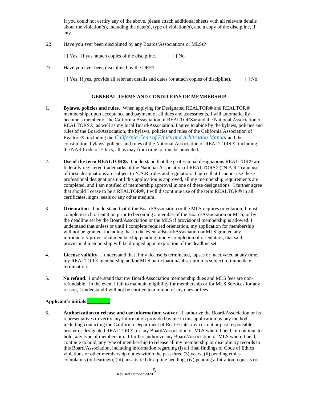If you could not certify any of the above, please attach additional sheets with all relevant details about the violation(s), including the date(s), type of violation(s), and a copy of the discipline, if any.

22. Have you ever been disciplined by any Boards/Associations or MLSs?

[ ] Yes. If yes, attach copies of the discipline. [ ] No.

23. Have you ever been disciplined by the DRE?

[ ] Yes. If yes, provide all relevant details and dates (or attach copies of discipline). [ ] No.

### **GENERAL TERMS AND CONDITIONS OF MEMBERSHIP**

- 1**. Bylaws, policies and rules.** When applying for Designated REALTOR® and REALTOR® membership, upon acceptance and payment of all dues and assessments, I will automatically become a member of the California Association of REALTORS® and the National Association of REALTORS®, as well as my local Board/Association. I agree to abide by the bylaws, policies and rules of the Board/Association, the bylaws, policies and rules of the California Association of Realtors, including the *California Code of Ethics and Arbitration Manual* and the constitution, bylaws, policies and rules of the National Association of REALTORS®, including the NAR Code of Ethics, all as may from time to time be amended.
- 2. **Use of the term REALTOR®.** I understand that the professional designations REALTOR<sup>®</sup> are federally registered trademarks of the National Association of REALTORS®("N.A.R.") and use of these designations are subject to N.A.R. rules and regulation. I agree that I cannot use these professional designations until this application is approved, all my membership requirements are completed, and I am notified of membership approval in one of these designations. I further agree that should I cease to be a REALTOR $\mathcal{R}$ , I will discontinue use of the term REALTOR $\mathcal{R}$  in all certificates, signs, seals or any other medium.
- 3. **Orientation**. I understand that if the Board/Association or the MLS requires orientation, I must complete such orientation prior to becoming a member of the Board/Association or MLS, or by the deadline set by the Board/Association or the MLS if provisional membership is allowed. I understand that unless or until I complete required orientation, my application for membership will not be granted, including that in the event a Board/Association or MLS granted any introductory provisional membership pending timely completion of orientation, that said provisional membership will be dropped upon expiration of the deadline set.
- 4. **License validity.** I understand that if my license is terminated, lapses or inactivated at any time, my REALTOR® membership and/or MLS participation/subscription is subject to immediate termination.
- 5. **No refund**. I understand that my Board/Association membership dues and MLS fees are nonrefundable. In the event I fail to maintain eligibility for membership or for MLS Services for any reason, I understand I will not be entitled to a refund of my dues or fees.

### **Applicant's initials \_\_\_\_\_\_\_\_\_**

6. **Authorization to release and use information; waiver**. I authorize the Board/Association or its representatives to verify any information provided by me in this application by any method including contacting the California Department of Real Estate, my current or past responsible broker or designated REALTOR®, or any Board/Association or MLS where I held, or continue to hold, any type of membership. I further authorize any Board/Association or MLS where I held, continue to hold, any type of membership to release all my membership or disciplinary records to this Board/Association, including information regarding (i) all final findings of Code of Ethics violations or other membership duties within the past three (3) years; (ii) pending ethics complaints (or hearings); (iii) unsatisfied discipline pending; (iv) pending arbitration requests (or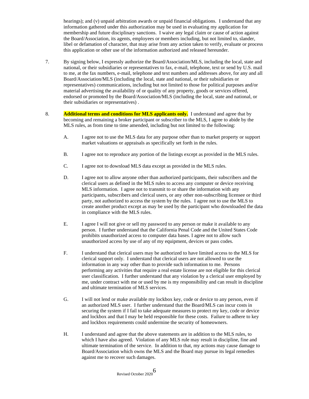hearings); and (v) unpaid arbitration awards or unpaid financial obligations. I understand that any information gathered under this authorization may be used in evaluating my application for membership and future disciplinary sanctions. I waive any legal claim or cause of action against the Board/Association, its agents, employees or members including, but not limited to, slander, libel or defamation of character, that may arise from any action taken to verify, evaluate or process this application or other use of the information authorized and released hereunder.

- 7. By signing below, I expressly authorize the Board/Association/MLS, including the local, state and national, or their subsidiaries or representatives to fax, e-mail, telephone, text or send by U.S. mail to me, at the fax numbers, e-mail, telephone and text numbers and addresses above, for any and all Board/Association/MLS (including the local, state and national, or their subsidiaries or representatives) communications, including but not limited to those for political purposes and/or material advertising the availability of or quality of any property, goods or services offered, endorsed or promoted by the Board/Association/MLS (including the local, state and national, or their subsidiaries or representatives) .
- 8. **Additional terms and conditions for MLS applicants only.** I understand and agree that by becoming and remaining a broker participant or subscriber to the MLS, I agree to abide by the MLS rules, as from time to time amended, including but not limited to the following:
	- A. I agree not to use the MLS data for any purpose other than to market property or support market valuations or appraisals as specifically set forth in the rules.
	- B. I agree not to reproduce any portion of the listings except as provided in the MLS rules.
	- C. I agree not to download MLS data except as provided in the MLS rules.
	- D. I agree not to allow anyone other than authorized participants, their subscribers and the clerical users as defined in the MLS rules to access any computer or device receiving MLS information. I agree not to transmit to or share the information with any participants, subscribers and clerical users, or any other non-subscribing licensee or third party, not authorized to access the system by the rules. I agree not to use the MLS to create another product except as may be used by the participant who downloaded the data in compliance with the MLS rules.
	- E. I agree I will not give or sell my password to any person or make it available to any person. I further understand that the California Penal Code and the United States Code prohibits unauthorized access to computer data bases. I agree not to allow such unauthorized access by use of any of my equipment, devices or pass codes.
	- F. I understand that clerical users may be authorized to have limited access to the MLS for clerical support only. I understand that clerical users are not allowed to use the information in any way other than to provide such information to me. Persons performing any activities that require a real estate license are not eligible for this clerical user classification. I further understand that any violation by a clerical user employed by me, under contract with me or used by me is my responsibility and can result in discipline and ultimate termination of MLS services.
	- G. I will not lend or make available my lockbox key, code or device to any person, even if an authorized MLS user. I further understand that the Board/MLS can incur costs in securing the system if I fail to take adequate measures to protect my key, code or device and lockbox and that I may be held responsible for these costs. Failure to adhere to key and lockbox requirements could undermine the security of homeowners.
	- H. I understand and agree that the above statements are in addition to the MLS rules, to which I have also agreed. Violation of any MLS rule may result in discipline, fine and ultimate termination of the service. In addition to that, my actions may cause damage to Board/Association which owns the MLS and the Board may pursue its legal remedies against me to recover such damages.